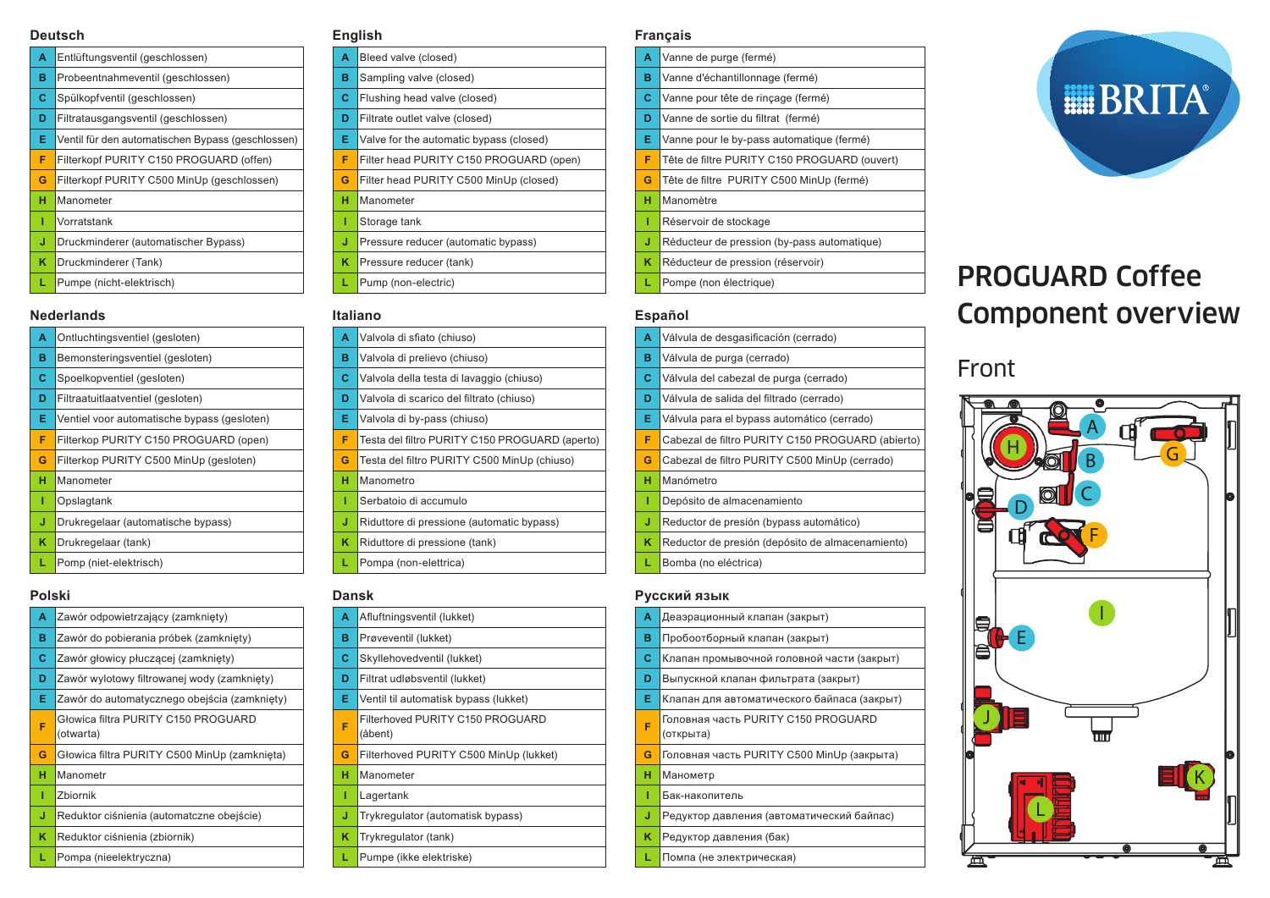#### **Deutsch**

| A | Entlüftungsventil (geschlossen)                   |
|---|---------------------------------------------------|
| в | Probeentnahmeventil (geschlossen)                 |
| c | Spülkopfventil (geschlossen)                      |
| D | Filtratausgangsventil (geschlossen)               |
| Е | Ventil für den automatischen Bypass (geschlossen) |
| F | Filterkopf PURITY C150 PROGUARD (offen)           |
| G | Filterkopf PURITY C500 MinUp (geschlossen)        |
| н | Manometer                                         |
| ı | Vorratstank                                       |
| J | Druckminderer (automatischer Bypass)              |
| κ | Druckminderer (Tank)                              |
|   | Pumpe (nicht-elektrisch)                          |

#### **Nederlands**

| A | Ontluchtingsventiel (gesloten)              |
|---|---------------------------------------------|
| в | Bemonsteringsventiel (gesloten)             |
| С | Spoelkopventiel (gesloten)                  |
| D | Filtraatuitlaatventiel (gesloten)           |
| Е | Ventiel voor automatische bypass (gesloten) |
| F | Filterkop PURITY C150 PROGUARD (open)       |
| G | Filterkop PURITY C500 MinUp (gesloten)      |
| н | Manometer                                   |
| 1 | Opslagtank                                  |
| J | Drukregelaar (automatische bypass)          |
| ĸ | Drukregelaar (tank)                         |
| L | Pomp (niet-elektrisch)                      |
|   |                                             |

#### **Polski**

| A | Zawór odpowietrzający (zamknięty)                |
|---|--------------------------------------------------|
| в | Zawór do pobierania próbek (zamknięty)           |
| С | Zawór głowicy płuczącej (zamknięty)              |
| D | Zawór wylotowy filtrowanej wody (zamknięty)      |
| Е | Zawór do automatycznego obejścia (zamknięty)     |
| F | Głowica filtra PURITY C150 PROGUARD<br>(otwarta) |
| G | Głowica filtra PURITY C500 MinUp (zamknięta)     |
| н | Manometr                                         |
| T | Zbiornik                                         |
| J | Reduktor ciśnienia (automatczne obejście)        |
| κ | Reduktor ciśnienia (zbiornik)                    |
| L | Pompa (nieelektryczna)                           |

#### **English**

| A | Bleed valve (closed)                    |  |  |
|---|-----------------------------------------|--|--|
| в | Sampling valve (closed)                 |  |  |
| с | Flushing head valve (closed)            |  |  |
| D | Filtrate outlet valve (closed)          |  |  |
| Е | Valve for the automatic bypass (closed) |  |  |
| F | Filter head PURITY C150 PROGUARD (open) |  |  |
| G | Filter head PURITY C500 MinUp (closed)  |  |  |
| н | Manometer                               |  |  |
| Т | Storage tank                            |  |  |
| J | Pressure reducer (automatic bypass)     |  |  |
| κ | Pressure reducer (tank)                 |  |  |
| L | Pump (non-electric)                     |  |  |

#### **Italiano**

| allallu |                                                |  |
|---------|------------------------------------------------|--|
| A       | Valvola di sfiato (chiuso)                     |  |
| в       | Valvola di prelievo (chiuso)                   |  |
| с       | Valvola della testa di lavaggio (chiuso)       |  |
| D       | Valvola di scarico del filtrato (chiuso)       |  |
| Е       | Valvola di by-pass (chiuso)                    |  |
| F       | Testa del filtro PURITY C150 PROGUARD (aperto) |  |
| G       | Testa del filtro PURITY C500 MinUp (chiuso)    |  |
| н       | Manometro                                      |  |
| т       | Serbatoio di accumulo                          |  |
| J       | Riduttore di pressione (automatic bypass)      |  |
| κ       | Riduttore di pressione (tank)                  |  |
| L       | Pompa (non-elettrica)                          |  |
|         |                                                |  |

#### **Dansk**

| Α | Afluftningsventil (lukket)                  |  |  |
|---|---------------------------------------------|--|--|
| в | Prøveventil (lukket)                        |  |  |
| С | Skyllehovedventil (lukket)                  |  |  |
| D | Filtrat udløbsventil (lukket)               |  |  |
| Е | Ventil til automatisk bypass (lukket)       |  |  |
| F | Filterhoved PURITY C150 PROGUARD<br>(åbent) |  |  |
| G | Filterhoved PURITY C500 MinUp (lukket)      |  |  |
| н | Manometer                                   |  |  |
| ı | Lagertank                                   |  |  |
| J | Trykregulator (automatisk bypass)           |  |  |
| κ | Trykregulator (tank)                        |  |  |
|   | Pumpe (ikke elektriske)                     |  |  |

#### **Français**

**A** Vanne de purge (fermé) **B** Vanne d'échantillonnage (fermé) **C** Vanne pour tête de rinçage (fermé) **D** Vanne de sortie du filtrat (fermé) **E** Vanne pour le by-pass automatique (fermé) **F** Tête de filtre PURITY C150 PROGUARD (ouvert) **G** Tête de filtre PURITY C500 MinUp (fermé) **H** Manomètre **I** Réservoir de stockage **J** Réducteur de pression (by-pass automatique) **K** Réducteur de pression (réservoir) **L** Pompe (non électrique)

#### **Español**

**A** Válvula de desgasificación (cerrado) **B** Válvula de purga (cerrado) **C** Válvula del cabezal de purga (cerrado) **D** Válvula de salida del filtrado (cerrado) **E** Válvula para el bypass automático (cerrado) **F** Cabezal de filtro PURITY C150 PROGUARD (abierto) **G** Cabezal de filtro PURITY C500 MinUp (cerrado) **H** Manómetro **I** Depósito de almacenamiento **J** Reductor de presión (bypass automático) **K** Reductor de presión (depósito de almacenamiento) **L** Bomba (no eléctrica)

#### **Русский язык**

| A | Деаэрационный клапан (закрыт)                    |
|---|--------------------------------------------------|
| в | Пробоотборный клапан (закрыт)                    |
| c | Клапан промывочной головной части (закрыт)       |
| D | Выпускной клапан фильтрата (закрыт)              |
| Е | Клапан для автоматического байпаса (закрыт)      |
| F | Головная часть PURITY C150 PROGUARD<br>(открыта) |
| G | Головная часть PURITY C500 MinUp (закрыта)       |
| н | Манометр                                         |
| ı | Бак-накопитель                                   |
| J | Редуктор давления (автоматический байпас)        |
| κ | Редуктор давления (бак)                          |
|   | Помпа (не электрическая)                         |



# PROGUARD Coffee Component overview

### Front